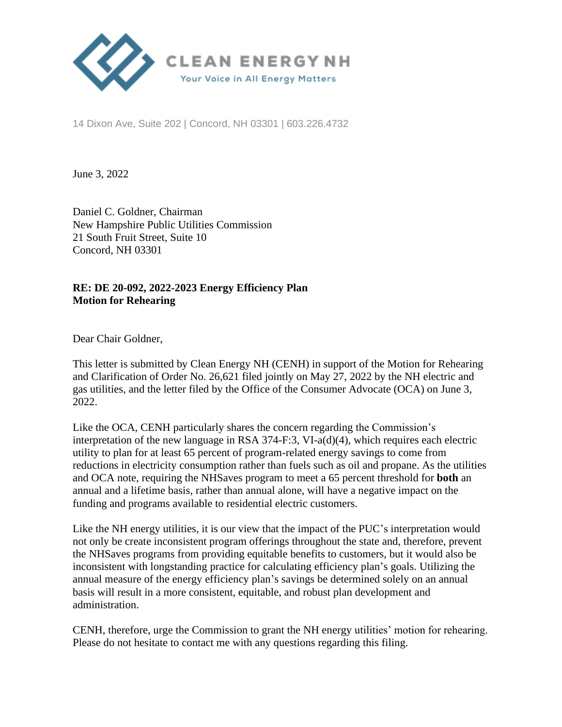

14 Dixon Ave, Suite 202 | Concord, NH 03301 | 603.226.4732

June 3, 2022

Daniel C. Goldner, Chairman New Hampshire Public Utilities Commission 21 South Fruit Street, Suite 10 Concord, NH 03301

## **RE: DE 20-092, 2022-2023 Energy Efficiency Plan Motion for Rehearing**

Dear Chair Goldner,

This letter is submitted by Clean Energy NH (CENH) in support of the Motion for Rehearing and Clarification of Order No. 26,621 filed jointly on May 27, 2022 by the NH electric and gas utilities, and the letter filed by the Office of the Consumer Advocate (OCA) on June 3, 2022.

Like the OCA, CENH particularly shares the concern regarding the Commission's interpretation of the new language in RSA  $374-F:3$ , VI-a(d)(4), which requires each electric utility to plan for at least 65 percent of program-related energy savings to come from reductions in electricity consumption rather than fuels such as oil and propane. As the utilities and OCA note, requiring the NHSaves program to meet a 65 percent threshold for **both** an annual and a lifetime basis, rather than annual alone, will have a negative impact on the funding and programs available to residential electric customers.

Like the NH energy utilities, it is our view that the impact of the PUC's interpretation would not only be create inconsistent program offerings throughout the state and, therefore, prevent the NHSaves programs from providing equitable benefits to customers, but it would also be inconsistent with longstanding practice for calculating efficiency plan's goals. Utilizing the annual measure of the energy efficiency plan's savings be determined solely on an annual basis will result in a more consistent, equitable, and robust plan development and administration.

CENH, therefore, urge the Commission to grant the NH energy utilities' motion for rehearing. Please do not hesitate to contact me with any questions regarding this filing.